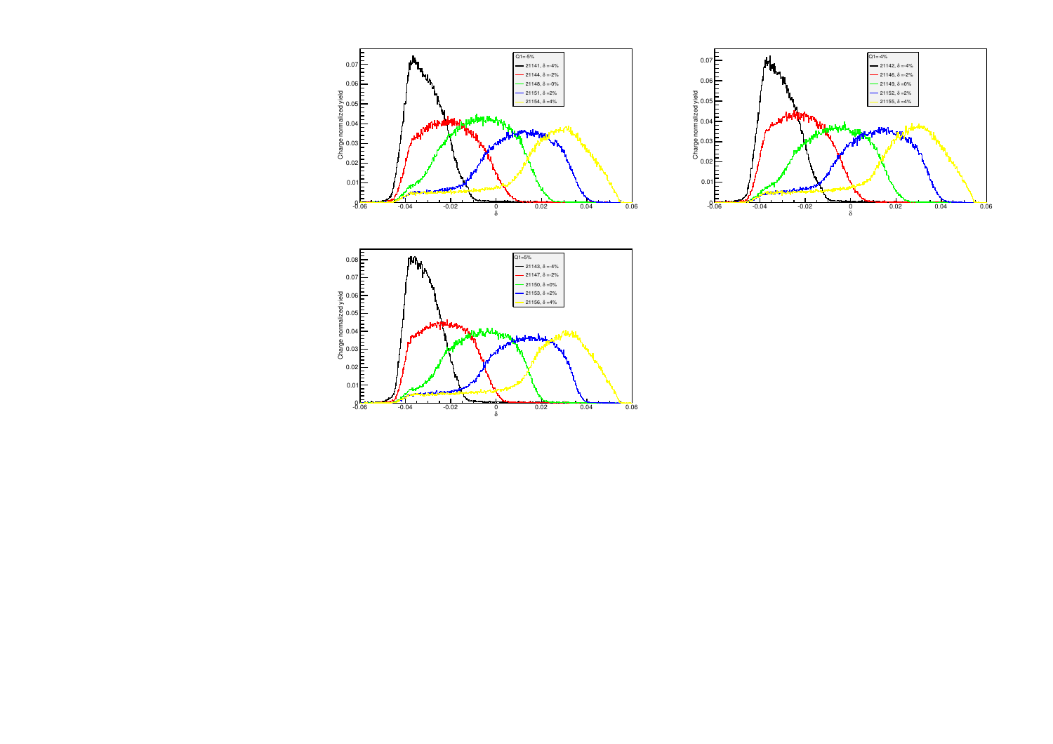



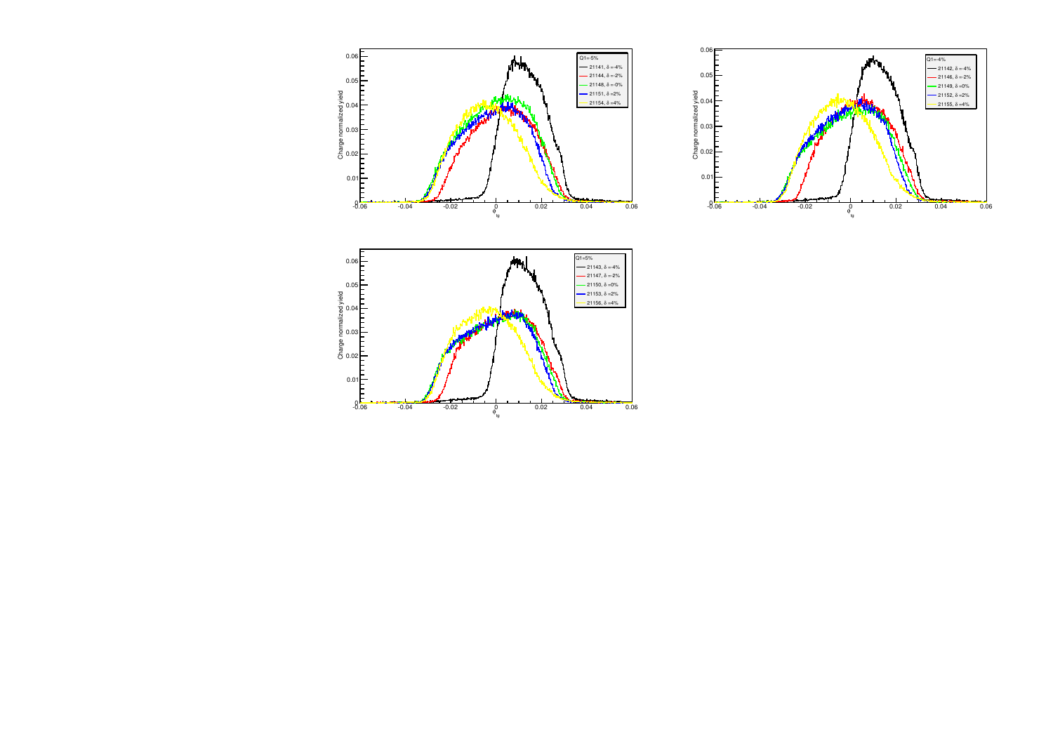